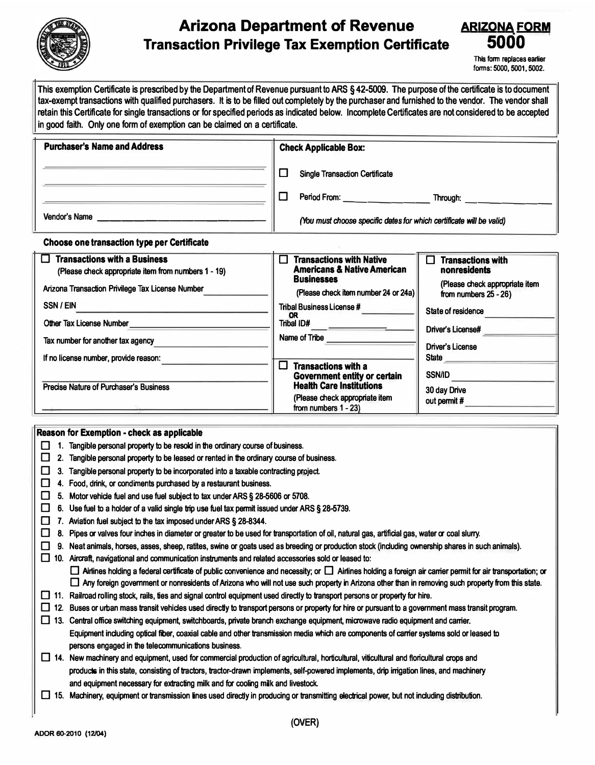

## **Arizona Department of Revenue Transaction Privilege Tax Exemption Certificate**



This form replaces earlier forms: 5000, 5001, 5002.

This exemption Certificate is prescribed by the Department of Revenue pursuant to ARS § 42-5009. The purpose of the certificate is to document **tax-exempt transactions with qualified purchasers. It is** to **be filled out completely by the purchaser and furnished** to **the vendor. The vendor shall retain this Certificate for single transactions or for specified periods as indicated below. Incomplete Certificates are not considered** to **be accepted in good faith. Only one form of exemption can be claimed on a certificate.** 

| <b>Purchaser's Name and Address</b>                | <b>Check Applicable Box:</b>                                         |  |
|----------------------------------------------------|----------------------------------------------------------------------|--|
|                                                    | <b>Single Transaction Certificate</b>                                |  |
|                                                    | Period From:<br>Through:                                             |  |
| Vendor's Name                                      | (You must choose specific dates for which certificate will be valid) |  |
| <b>Choose one transaction type per Certificate</b> |                                                                      |  |

| <b>Transactions with a Business</b><br>(Please check appropriate item from numbers 1 - 19)<br>Arizona Transaction Privilege Tax License Number<br>SSN / EIN<br>Other Tax License Number | <b>Transactions with Native</b><br><b>Americans &amp; Native American</b><br><b>Businesses</b><br>(Please check item number 24 or 24a)<br>Tribal Business License #<br>OR.<br>Tribal ID# | <b>Transactions with</b><br>П<br>nonresidents<br>(Please check appropriate item<br>from numbers $25 - 26$ )<br>State of residence<br>Driver's License# |
|-----------------------------------------------------------------------------------------------------------------------------------------------------------------------------------------|------------------------------------------------------------------------------------------------------------------------------------------------------------------------------------------|--------------------------------------------------------------------------------------------------------------------------------------------------------|
| Tax number for another tax agency                                                                                                                                                       | Name of Tribe                                                                                                                                                                            | Driver's License                                                                                                                                       |
| If no license number, provide reason:                                                                                                                                                   | <b>Transactions with a</b>                                                                                                                                                               | State                                                                                                                                                  |
| <b>Precise Nature of Purchaser's Business</b>                                                                                                                                           | Government entity or certain<br><b>Health Care Institutions</b><br>(Please check appropriate item<br>from numbers $1 - 23$ )                                                             | <b>SSN/ID</b><br>30 day Drive<br>out permit #                                                                                                          |

## **Reason for Exemption - check as applicable**

- D **1. Tangible personal property to be resold in the ordinary course of business.**
- D **2. Tangible personal property to be leased or rented in the ordinary course of business.**
- D **3. Tangible personal property to be incorporated into a taxable contracting project**
- D **4. Food, drink, or condiments purchased by a restaurant business.**
- D **5. Motor vehide fuel and use fuel subject to tax under ARS § 28-5606 or 5708.**
- □ 6. Use fuel to a holder of a valid single trip use fuel tax permit issued under ARS § 28-5739.
- D **7. Aviation fuel subject to the tax imposed under ARS § 28-8344.**
- D **8. Pipes or valves four inches in diameter or greater to be used for transportation of oil, natural gas, artificial gas, water or coal slurry.**
- □ 9. Neat animals, horses, asses, sheep, ratites, swine or goats used as breeding or production stock (including ownership shares in such animals).

□ 10. Aircraft, navigational and communication instruments and related accessories sold or leased to:

- □ Airlines holding a federal certificate of public convenience and necessity; or □ Airlines holding a foreign air carrier permit for air transportation; or □ Any foreign government or nonresidents of Arizona who will not use such property in Arizona other than in removing such property from this state.
- **11.** Railroad rolling stock, rails, ties and signal control equipment used directly to transport persons or property for hire.
- □ 12. Buses or urban mass transit vehicles used directly to transport persons or property for hire or pursuant to a government mass transit program.
- □ 13. Central office switching equipment, switchboards, private branch exchange equipment, microwave radio equipment and carrier. **Equipment induding optical filer, coaxial cable and other transmission media which are components of carrier systems sold or leased to persons engaged in the telecommunications business.**
- □ 14. New machinery and equipment, used for commercial production of agricultural, horticultural, viticultural and floricultural crops and products in this state, consisting of tractors, tractor-drawn implements, self-powered implements, drip irrigation lines, and machinery **and equipment necessary for extracting nilk and for cooling milk and livestock.**
- □ 15. Machinery, equipment or transmission lines used directly in producing or transmitting electrical power, but not including distribution.